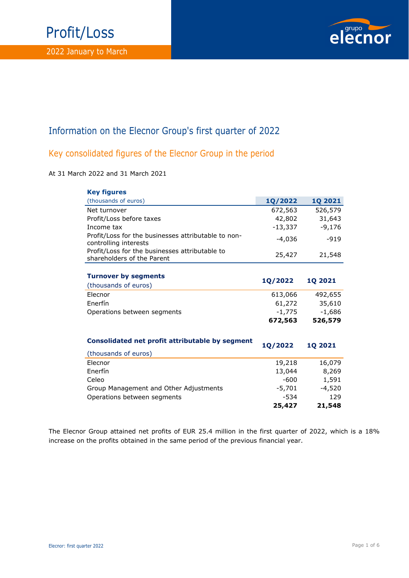## Profit/Loss



### Information on the Elecnor Group's first quarter of 2022

#### Key consolidated figures of the Elecnor Group in the period

#### At 31 March 2022 and 31 March 2021

| <b>Key figures</b>                                                           |                |                |
|------------------------------------------------------------------------------|----------------|----------------|
| (thousands of euros)                                                         | <b>1Q/2022</b> | <b>1Q 2021</b> |
| Net turnover                                                                 | 672,563        | 526,579        |
| Profit/Loss before taxes                                                     | 42,802         | 31,643         |
| Income tax                                                                   | $-13,337$      | $-9,176$       |
| Profit/Loss for the businesses attributable to non-<br>controlling interests | $-4,036$       | $-919$         |
| Profit/Loss for the businesses attributable to<br>shareholders of the Parent | 25,427         | 21,548         |
|                                                                              |                |                |
| <b>Turnover by segments</b>                                                  | 1Q/2022        | <b>1Q 2021</b> |
| (thousands of euros)                                                         |                |                |
| Elecnor                                                                      | 613,066        | 492,655        |
| Enerfín                                                                      | 61,272         | 35,610         |
| Operations between segments                                                  | $-1,775$       | $-1,686$       |
|                                                                              | 672,563        | 526,579        |
| Consolidated net profit attributable by segment                              | <b>1Q/2022</b> | <b>1Q 2021</b> |
| (thousands of euros)                                                         |                |                |
| Elecnor                                                                      | 19,218         | 16,079         |
| Enerfín                                                                      | 13,044         | 8,269          |
| Celeo                                                                        | $-600$         | 1,591          |
| Group Management and Other Adjustments                                       | $-5,701$       | $-4,520$       |
| Operations between segments                                                  | -534           | 129            |
|                                                                              | 25,427         | 21,548         |

The Elecnor Group attained net profits of EUR 25.4 million in the first quarter of 2022, which is a 18% increase on the profits obtained in the same period of the previous financial year.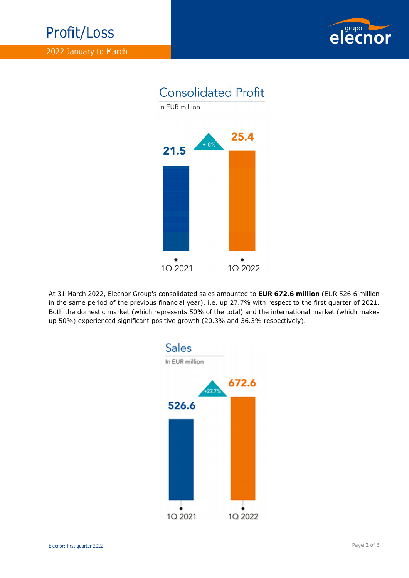



At 31 March 2022, Elecnor Group's consolidated sales amounted to **EUR 672.6 million** (EUR 526.6 million in the same period of the previous financial year), i.e. up 27.7% with respect to the first quarter of 2021. Both the domestic market (which represents 50% of the total) and the international market (which makes up 50%) experienced significant positive growth (20.3% and 36.3% respectively).

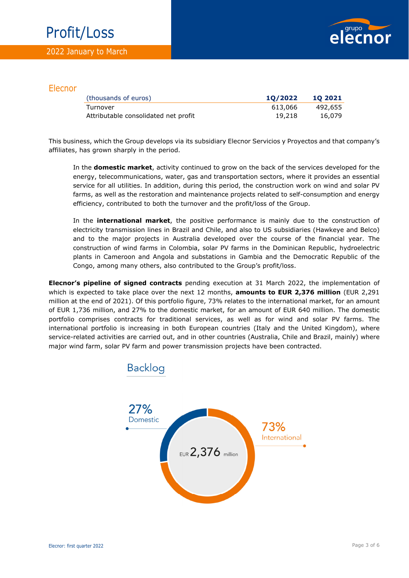## Profit/Loss



#### Elecnor

| (thousands of euros)                 | 10/2022 | 10 2021 |
|--------------------------------------|---------|---------|
| Turnover                             | 613,066 | 492,655 |
| Attributable consolidated net profit | 19,218  | 16,079  |

This business, which the Group develops via its subsidiary Elecnor Servicios y Proyectos and that company's affiliates, has grown sharply in the period.

In the **domestic market**, activity continued to grow on the back of the services developed for the energy, telecommunications, water, gas and transportation sectors, where it provides an essential service for all utilities. In addition, during this period, the construction work on wind and solar PV farms, as well as the restoration and maintenance projects related to self-consumption and energy efficiency, contributed to both the turnover and the profit/loss of the Group.

In the **international market**, the positive performance is mainly due to the construction of electricity transmission lines in Brazil and Chile, and also to US subsidiaries (Hawkeye and Belco) and to the major projects in Australia developed over the course of the financial year. The construction of wind farms in Colombia, solar PV farms in the Dominican Republic, hydroelectric plants in Cameroon and Angola and substations in Gambia and the Democratic Republic of the Congo, among many others, also contributed to the Group's profit/loss.

**Elecnor's pipeline of signed contracts** pending execution at 31 March 2022, the implementation of which is expected to take place over the next 12 months, **amounts to EUR 2,376 million** (EUR 2,291 million at the end of 2021). Of this portfolio figure, 73% relates to the international market, for an amount of EUR 1,736 million, and 27% to the domestic market, for an amount of EUR 640 million. The domestic portfolio comprises contracts for traditional services, as well as for wind and solar PV farms. The international portfolio is increasing in both European countries (Italy and the United Kingdom), where service-related activities are carried out, and in other countries (Australia, Chile and Brazil, mainly) where major wind farm, solar PV farm and power transmission projects have been contracted.

**Backlog** 

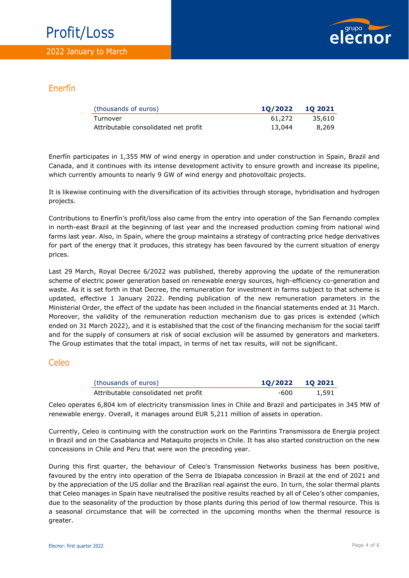

#### Enerfín

| (thousands of euros)                 | 10/2022 | 10 2021 |
|--------------------------------------|---------|---------|
| Turnover                             | 61.272  | 35,610  |
| Attributable consolidated net profit | 13,044  | 8,269   |

Enerfín participates in 1,355 MW of wind energy in operation and under construction in Spain, Brazil and Canada, and it continues with its intense development activity to ensure growth and increase its pipeline, which currently amounts to nearly 9 GW of wind energy and photovoltaic projects.

It is likewise continuing with the diversification of its activities through storage, hybridisation and hydrogen projects.

Contributions to Enerfín's profit/loss also came from the entry into operation of the San Fernando complex in north-east Brazil at the beginning of last year and the increased production coming from national wind farms last year. Also, in Spain, where the group maintains a strategy of contracting price hedge derivatives for part of the energy that it produces, this strategy has been favoured by the current situation of energy prices.

Last 29 March, Royal Decree 6/2022 was published, thereby approving the update of the remuneration scheme of electric power generation based on renewable energy sources, high-efficiency co-generation and waste. As it is set forth in that Decree, the remuneration for investment in farms subject to that scheme is updated, effective 1 January 2022. Pending publication of the new remuneration parameters in the Ministerial Order, the effect of the update has been included in the financial statements ended at 31 March. Moreover, the validity of the remuneration reduction mechanism due to gas prices is extended (which ended on 31 March 2022), and it is established that the cost of the financing mechanism for the social tariff and for the supply of consumers at risk of social exclusion will be assumed by generators and marketers. The Group estimates that the total impact, in terms of net tax results, will not be significant.

#### Celeo

| (thousands of euros)                 | 10/2022 10 2021 |       |
|--------------------------------------|-----------------|-------|
| Attributable consolidated net profit | -600            | 1.591 |

Celeo operates 6,804 km of electricity transmission lines in Chile and Brazil and participates in 345 MW of renewable energy. Overall, it manages around EUR 5,211 million of assets in operation.

Currently, Celeo is continuing with the construction work on the Parintins Transmissora de Energia project in Brazil and on the Casablanca and Mataquito projects in Chile. It has also started construction on the new concessions in Chile and Peru that were won the preceding year.

During this first quarter, the behaviour of Celeo's Transmission Networks business has been positive, favoured by the entry into operation of the Serra de Ibiapaba concession in Brazil at the end of 2021 and by the appreciation of the US dollar and the Brazilian real against the euro. In turn, the solar thermal plants that Celeo manages in Spain have neutralised the positive results reached by all of Celeo's other companies, due to the seasonality of the production by those plants during this period of low thermal resource. This is a seasonal circumstance that will be corrected in the upcoming months when the thermal resource is greater.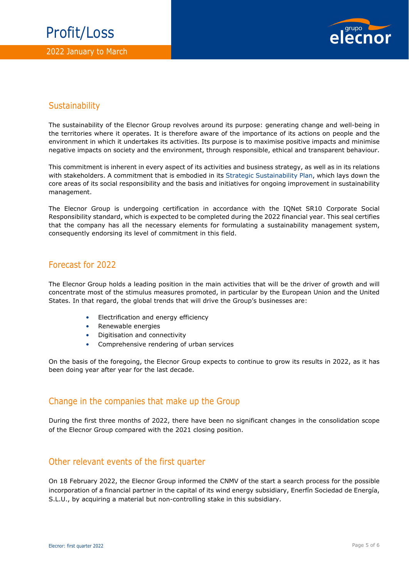

#### **Sustainability**

The sustainability of the Elecnor Group revolves around its purpose: generating change and well-being in the territories where it operates. It is therefore aware of the importance of its actions on people and the environment in which it undertakes its activities. Its purpose is to maximise positive impacts and minimise negative impacts on society and the environment, through responsible, ethical and transparent behaviour.

This commitment is inherent in every aspect of its activities and business strategy, as well as in its relations with stakeholders. A commitment that is embodied in its Strategic Sustainability Plan, which lays down the core areas of its social responsibility and the basis and initiatives for ongoing improvement in sustainability management.

The Elecnor Group is undergoing certification in accordance with the IQNet SR10 Corporate Social Responsibility standard, which is expected to be completed during the 2022 financial year. This seal certifies that the company has all the necessary elements for formulating a sustainability management system, consequently endorsing its level of commitment in this field.

#### Forecast for 2022

The Elecnor Group holds a leading position in the main activities that will be the driver of growth and will concentrate most of the stimulus measures promoted, in particular by the European Union and the United States. In that regard, the global trends that will drive the Group's businesses are:

- Electrification and energy efficiency
- Renewable energies
- Digitisation and connectivity
- Comprehensive rendering of urban services

On the basis of the foregoing, the Elecnor Group expects to continue to grow its results in 2022, as it has been doing year after year for the last decade.

#### Change in the companies that make up the Group

During the first three months of 2022, there have been no significant changes in the consolidation scope of the Elecnor Group compared with the 2021 closing position.

#### Other relevant events of the first quarter

On 18 February 2022, the Elecnor Group informed the CNMV of the start a search process for the possible incorporation of a financial partner in the capital of its wind energy subsidiary, Enerfín Sociedad de Energía, S.L.U., by acquiring a material but non-controlling stake in this subsidiary.